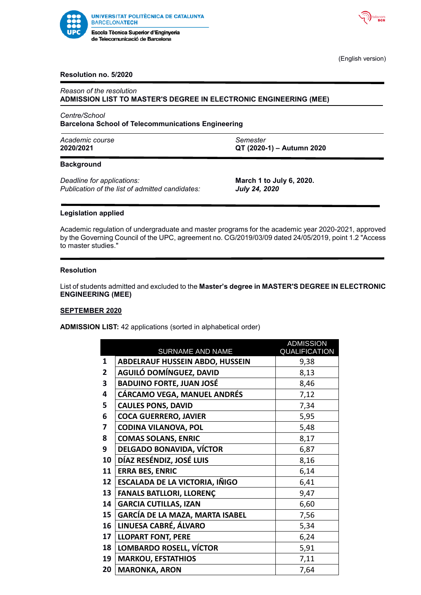



(English version)

# **Resolution no. 5/2020**

*Reason of the resolution* **ADMISSION LIST TO MASTER'S DEGREE IN ELECTRONIC ENGINEERING (MEE)**

*Centre/School* **Barcelona School of Telecommunications Engineering**

| Academic course | Semester                  |
|-----------------|---------------------------|
| 2020/2021       | QT (2020-1) - Autumn 2020 |

### **Background**

*Deadline for applications:* **March 1 to July 6, 2020.** *Publication of the list of admitted candidates: July 24, 2020*

# **Legislation applied**

Academic regulation of undergraduate and master programs for the academic year 2020-2021, approved by the Governing Council of the UPC, agreement no. CG/2019/03/09 dated 24/05/2019, point 1.2 "Access to master studies."

### **Resolution**

List of students admitted and excluded to the **Master's degree in MASTER'S DEGREE IN ELECTRONIC ENGINEERING (MEE)**

## **SEPTEMBER 2020**

**ADMISSION LIST:** 42 applications (sorted in alphabetical order)

|                |                                        | <b>ADMISSION</b> |
|----------------|----------------------------------------|------------------|
|                | SURNAME AND NAME                       | QUALIFICATION    |
| 1              | <b>ABDELRAUF HUSSEIN ABDO, HUSSEIN</b> | 9,38             |
| $\overline{2}$ | AGUILÓ DOMÍNGUEZ, DAVID                | 8,13             |
| 3              | <b>BADUINO FORTE, JUAN JOSÉ</b>        | 8,46             |
| 4              | <b>CÁRCAMO VEGA, MANUEL ANDRÉS</b>     | 7,12             |
| 5              | <b>CAULES PONS, DAVID</b>              | 7,34             |
| 6              | <b>COCA GUERRERO, JAVIER</b>           | 5,95             |
| 7              | <b>CODINA VILANOVA, POL</b>            | 5,48             |
| 8              | <b>COMAS SOLANS, ENRIC</b>             | 8,17             |
| 9              | DELGADO BONAVIDA, VÍCTOR               | 6,87             |
| 10             | DÍAZ RESÉNDIZ, JOSÉ LUIS               | 8,16             |
| 11             | <b>ERRA BES, ENRIC</b>                 | 6,14             |
| 12             | <b>ESCALADA DE LA VICTORIA, IÑIGO</b>  | 6,41             |
| 13             | <b>FANALS BATLLORI, LLORENÇ</b>        | 9,47             |
| 14             | <b>GARCIA CUTILLAS, IZAN</b>           | 6,60             |
| 15             | GARCÍA DE LA MAZA, MARTA ISABEL        | 7,56             |
| 16             | LINUESA CABRÉ, ÁLVARO                  | 5,34             |
| 17             | <b>LLOPART FONT, PERE</b>              | 6,24             |
| 18             | LOMBARDO ROSELL, VÍCTOR                | 5,91             |
| 19             | <b>MARKOU, EFSTATHIOS</b>              | 7,11             |
| 20             | <b>MARONKA, ARON</b>                   | 7,64             |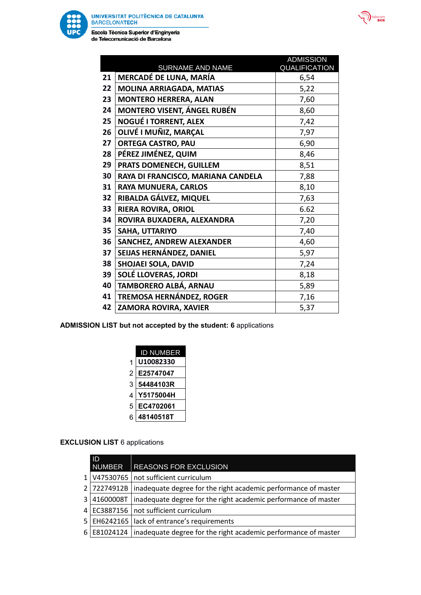

Escola Tècnica Superior d'Enginyeria de Telecomunicació de Barcelona

|    | SURNAME AND NAME                   | <b>ADMISSION</b><br>QUALIFICATION |
|----|------------------------------------|-----------------------------------|
| 21 | <b>MERCADÉ DE LUNA, MARÍA</b>      | 6,54                              |
| 22 | <b>MOLINA ARRIAGADA, MATIAS</b>    | 5,22                              |
| 23 | <b>MONTERO HERRERA, ALAN</b>       | 7,60                              |
| 24 | <b>MONTERO VISENT, ÁNGEL RUBÉN</b> | 8,60                              |
| 25 | <b>NOGUÉ I TORRENT, ALEX</b>       | 7,42                              |
| 26 | OLIVÉ I MUÑIZ, MARÇAL              | 7,97                              |
| 27 | <b>ORTEGA CASTRO, PAU</b>          | 6,90                              |
| 28 | PÉREZ JIMÉNEZ, QUIM                | 8,46                              |
| 29 | PRATS DOMENECH, GUILLEM            | 8,51                              |
| 30 | RAYA DI FRANCISCO, MARIANA CANDELA | 7,88                              |
| 31 | <b>RAYA MUNUERA, CARLOS</b>        | 8,10                              |
| 32 | RIBALDA GÁLVEZ, MIQUEL             | 7,63                              |
| 33 | <b>RIERA ROVIRA, ORIOL</b>         | 6.62                              |
| 34 | ROVIRA BUXADERA, ALEXANDRA         | 7,20                              |
| 35 | SAHA, UTTARIYO                     | 7,40                              |
| 36 | SANCHEZ, ANDREW ALEXANDER          | 4,60                              |
| 37 | SEIJAS HERNÁNDEZ, DANIEL           | 5,97                              |
| 38 | SHOJAEI SOLA, DAVID                | 7,24                              |
| 39 | SOLÉ LLOVERAS, JORDI               | 8,18                              |
| 40 | TAMBORERO ALBÁ, ARNAU              | 5,89                              |
| 41 | TREMOSA HERNÁNDEZ, ROGER           | 7,16                              |
| 42 | ZAMORA ROVIRA, XAVIER              | 5,37                              |

**ADMISSION LIST but not accepted by the student: 6** applications

|   | <b>D NUMBER</b> |
|---|-----------------|
| 1 | U10082330       |
| 2 | E25747047       |
| 3 | 54484103R       |
| 4 | Y5175004H       |
| 5 | EC4702061       |
| 6 | 48140518T       |
|   |                 |

# **EXCLUSION LIST** 6 applications

|                | ID            |                                                                              |
|----------------|---------------|------------------------------------------------------------------------------|
|                | <b>NUMBER</b> | <b>REASONS FOR EXCLUSION</b>                                                 |
| 1 <sup>1</sup> |               | V47530765   not sufficient curriculum                                        |
|                |               | 2 72274912B   inadequate degree for the right academic performance of master |
|                |               | 3 41600008T inadequate degree for the right academic performance of master   |
|                |               | 4 EC3887156   not sufficient curriculum                                      |
|                |               | 5   EH6242165   lack of entrance's requirements                              |
| 6 I            |               | E81024124   inadequate degree for the right academic performance of master   |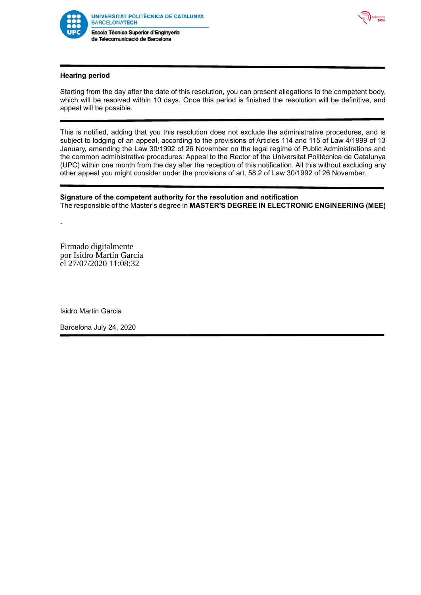

de Telecomunicació de Barcelona



# **Hearing period**

Starting from the day after the date of this resolution, you can present allegations to the competent body, which will be resolved within 10 days. Once this period is finished the resolution will be definitive, and appeal will be possible.

This is notified, adding that you this resolution does not exclude the administrative procedures, and is subject to lodging of an appeal, according to the provisions of Articles 114 and 115 of Law 4/1999 of 13 January, amending the Law 30/1992 of 26 November on the legal regime of Public Administrations and the common administrative procedures: Appeal to the Rector of the Universitat Politécnica de Catalunya (UPC) within one month from the day after the reception of this notification. All this without excluding any other appeal you might consider under the provisions of art. 58.2 of Law 30/1992 of 26 November.

## **Signature of the competent authority for the resolution and notification** The responsible of the Master's degree in **MASTER'S DEGREE IN ELECTRONIC ENGINEERING (MEE)**

Firmado digitalmente por Isidro Martín García el 27/07/2020 11:08:32

**.**

Isidro Martin Garcia

Barcelona July 24, 2020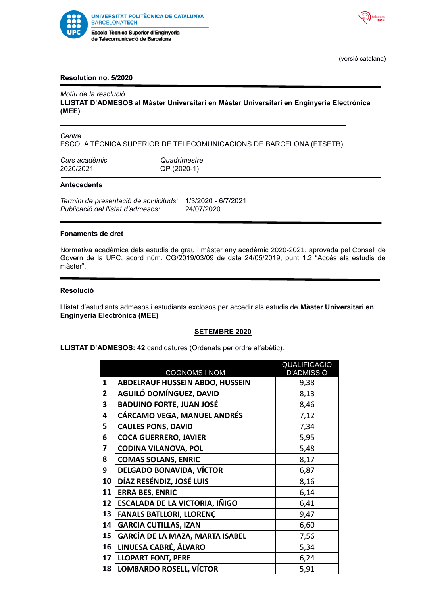



(versió catalana)

## **Resolution no. 5/2020**

# *Motiu de la resolució*

**LLISTAT D'ADMESOS al Màster Universitari en Màster Universitari en Enginyeria Electrònica (MEE)**

*Centre* ESCOLA TÈCNICA SUPERIOR DE TELECOMUNICACIONS DE BARCELONA (ETSETB)

*Curs acadèmic Quadrimestre* 2020/2021 QP (2020-1)

### **Antecedents**

*Termini de presentació de sol·licituds:* 1/3/2020 - 6/7/2021 *Publicació del llistat d'admesos:* 24/07/2020

#### **Fonaments de dret**

Normativa acadèmica dels estudis de grau i màster any acadèmic 2020-2021, aprovada pel Consell de Govern de la UPC, acord núm. CG/2019/03/09 de data 24/05/2019, punt 1.2 "Accés als estudis de màster".

## **Resolució**

Llistat d'estudiants admesos i estudiants exclosos per accedir als estudis de **Màster Universitari en Enginyeria Electrònica (MEE)**

### **SETEMBRE 2020**

**LLISTAT D'ADMESOS: 42** candidatures (Ordenats per ordre alfabètic).

|                | <b>COGNOMS I NOM</b>                   | QUALIFICA <u>CIÓ</u><br><b>D'ADMISSIÓ</b> |
|----------------|----------------------------------------|-------------------------------------------|
| 1              | <b>ABDELRAUF HUSSEIN ABDO, HUSSEIN</b> | 9,38                                      |
| $\overline{2}$ | AGUILÓ DOMÍNGUEZ, DAVID                | 8,13                                      |
| 3              | <b>BADUINO FORTE, JUAN JOSÉ</b>        | 8,46                                      |
| 4              | CÁRCAMO VEGA, MANUEL ANDRÉS            | 7,12                                      |
| 5              | <b>CAULES PONS, DAVID</b>              | 7,34                                      |
| 6              | <b>COCA GUERRERO, JAVIER</b>           | 5,95                                      |
| 7              | <b>CODINA VILANOVA, POL</b>            | 5,48                                      |
| 8              | <b>COMAS SOLANS, ENRIC</b>             | 8,17                                      |
| 9              | <b>DELGADO BONAVIDA, VÍCTOR</b>        | 6,87                                      |
| 10             | DÍAZ RESÉNDIZ, JOSÉ LUIS               | 8,16                                      |
| 11             | <b>ERRA BES, ENRIC</b>                 | 6,14                                      |
| 12             | <b>ESCALADA DE LA VICTORIA, IÑIGO</b>  | 6,41                                      |
| 13             | <b>FANALS BATLLORI, LLORENÇ</b>        | 9,47                                      |
| 14             | <b>GARCIA CUTILLAS, IZAN</b>           | 6,60                                      |
| 15             | GARCÍA DE LA MAZA, MARTA ISABEL        | 7,56                                      |
| 16             | LINUESA CABRÉ, ÁLVARO                  | 5,34                                      |
| 17             | <b>LLOPART FONT, PERE</b>              | 6,24                                      |
| 18             | LOMBARDO ROSELL, VÍCTOR                | 5,91                                      |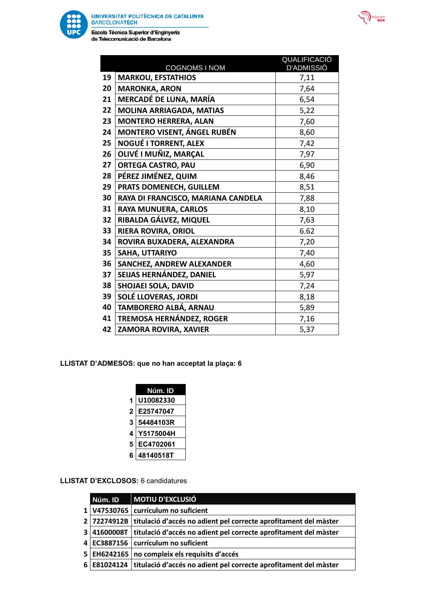

Escola Tècnica Superior d'Enginyeria de Telecomunicació de Barcelona

|    | <b>COGNOMS I NOM</b>               | <b>QUALIFICACIO</b><br><b>D'ADMISSIÓ</b> |
|----|------------------------------------|------------------------------------------|
| 19 | <b>MARKOU, EFSTATHIOS</b>          | 7,11                                     |
| 20 | <b>MARONKA, ARON</b>               | 7,64                                     |
| 21 | MERCADÉ DE LUNA, MARÍA             | 6,54                                     |
| 22 | <b>MOLINA ARRIAGADA, MATIAS</b>    | 5,22                                     |
| 23 | <b>MONTERO HERRERA, ALAN</b>       | 7,60                                     |
| 24 | <b>MONTERO VISENT, ÁNGEL RUBÉN</b> | 8,60                                     |
| 25 | NOGUÉ I TORRENT, ALEX              | 7,42                                     |
| 26 | OLIVÉ I MUÑIZ, MARÇAL              | 7,97                                     |
| 27 | <b>ORTEGA CASTRO, PAU</b>          | 6,90                                     |
| 28 | PÉREZ JIMÉNEZ, QUIM                | 8,46                                     |
| 29 | PRATS DOMENECH, GUILLEM            | 8,51                                     |
| 30 | RAYA DI FRANCISCO, MARIANA CANDELA | 7,88                                     |
| 31 | <b>RAYA MUNUERA, CARLOS</b>        | 8,10                                     |
| 32 | RIBALDA GÁLVEZ, MIQUEL             | 7,63                                     |
| 33 | RIERA ROVIRA, ORIOL                | 6.62                                     |
| 34 | ROVIRA BUXADERA, ALEXANDRA         | 7,20                                     |
| 35 | SAHA, UTTARIYO                     | 7,40                                     |
| 36 | SANCHEZ, ANDREW ALEXANDER          | 4,60                                     |
| 37 | SEIJAS HERNÁNDEZ, DANIEL           | 5,97                                     |
| 38 | SHOJAEI SOLA, DAVID                | 7,24                                     |
| 39 | SOLÉ LLOVERAS, JORDI               | 8,18                                     |
| 40 | TAMBORERO ALBÁ, ARNAU              | 5,89                                     |
| 41 | TREMOSA HERNÁNDEZ, ROGER           | 7,16                                     |
| 42 | ZAMORA ROVIRA, XAVIER              | 5,37                                     |

 $\overline{\phantom{a}}$ 

ecom<br>BCN

**LLISTAT D'ADMESOS: que no han acceptat la plaça: 6** 

|                | Núm. ID   |
|----------------|-----------|
| 1              | U10082330 |
| $\overline{2}$ | E25747047 |
| 3              | 54484103R |
| 4              | Y5175004H |
| 5              | EC4702061 |
| 6              | 48140518T |

**LLISTAT D'EXCLOSOS:** 6 candidatures

| Núm. ID | <b>MOTIU D'EXCLUSIÓ</b>                                                        |
|---------|--------------------------------------------------------------------------------|
|         | 1 V47530765   currículum no suficient                                          |
|         | 2 72274912B titulació d'accés no adient pel correcte aprofitament del màster   |
|         | 3 41600008T titulació d'accés no adient pel correcte aprofitament del màster   |
|         | 4 EC3887156   currículum no suficient                                          |
|         | 5   EH6242165   no compleix els requisits d'accés                              |
|         | 6 E81024124   titulació d'accés no adient pel correcte aprofitament del màster |